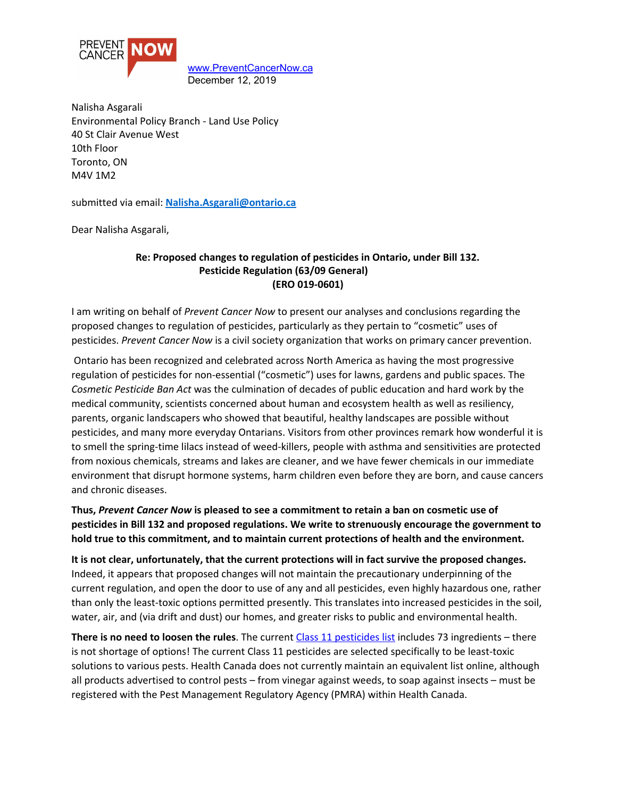

[www.PreventCancerNow.ca](http://www.preventcancernow.ca/) December 12, 2019

Nalisha Asgarali Environmental Policy Branch - Land Use Policy 40 St Clair Avenue West 10th Floor Toronto, ON M4V 1M2

submitted via email: **[Nalisha.Asgarali@ontario.ca](mailto:Nalisha.Asgarali@ontario.ca)**

Dear Nalisha Asgarali,

# **Re: Proposed changes to regulation of pesticides in Ontario, under Bill 132. Pesticide Regulation (63/09 General) (ERO 019-0601)**

I am writing on behalf of *Prevent Cancer Now* to present our analyses and conclusions regarding the proposed changes to regulation of pesticides, particularly as they pertain to "cosmetic" uses of pesticides. *Prevent Cancer Now* is a civil society organization that works on primary cancer prevention.

Ontario has been recognized and celebrated across North America as having the most progressive regulation of pesticides for non-essential ("cosmetic") uses for lawns, gardens and public spaces. The *Cosmetic Pesticide Ban Act* was the culmination of decades of public education and hard work by the medical community, scientists concerned about human and ecosystem health as well as resiliency, parents, organic landscapers who showed that beautiful, healthy landscapes are possible without pesticides, and many more everyday Ontarians. Visitors from other provinces remark how wonderful it is to smell the spring-time lilacs instead of weed-killers, people with asthma and sensitivities are protected from noxious chemicals, streams and lakes are cleaner, and we have fewer chemicals in our immediate environment that disrupt hormone systems, harm children even before they are born, and cause cancers and chronic diseases.

**Thus,** *Prevent Cancer Now* **is pleased to see a commitment to retain a ban on cosmetic use of pesticides in Bill 132 and proposed regulations. We write to strenuously encourage the government to hold true to this commitment, and to maintain current protections of health and the environment.**

**It is not clear, unfortunately, that the current protections will in fact survive the proposed changes.** Indeed, it appears that proposed changes will not maintain the precautionary underpinning of the current regulation, and open the door to use of any and all pesticides, even highly hazardous one, rather than only the least-toxic options permitted presently. This translates into increased pesticides in the soil, water, air, and (via drift and dust) our homes, and greater risks to public and environmental health.

**There is no need to loosen the rules**. The current Class 11 [pesticides](https://www.ontario.ca/page/class-11-pesticides) list includes 73 ingredients – there is not shortage of options! The current Class 11 pesticides are selected specifically to be least-toxic solutions to various pests. Health Canada does not currently maintain an equivalent list online, although all products advertised to control pests – from vinegar against weeds, to soap against insects – must be registered with the Pest Management Regulatory Agency (PMRA) within Health Canada.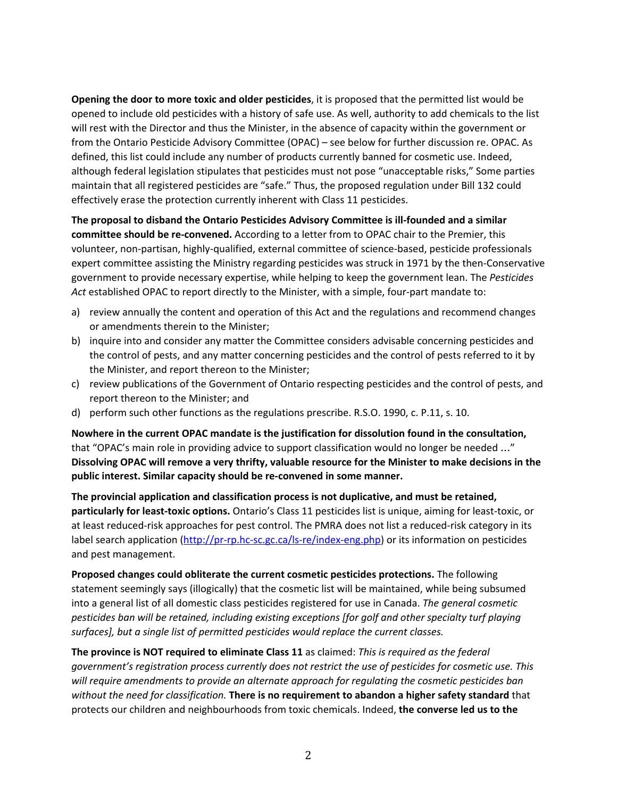**Opening the door to more toxic and older pesticides**, it is proposed that the permitted list would be opened to include old pesticides with a history of safe use. As well, authority to add chemicals to the list will rest with the Director and thus the Minister, in the absence of capacity within the government or from the Ontario Pesticide Advisory Committee (OPAC) – see below for further discussion re. OPAC. As defined, this list could include any number of products currently banned for cosmetic use. Indeed, although federal legislation stipulates that pesticides must not pose "unacceptable risks," Some parties maintain that all registered pesticides are "safe." Thus, the proposed regulation under Bill 132 could effectively erase the protection currently inherent with Class 11 pesticides.

**The proposal to disband the Ontario Pesticides Advisory Committee is ill-founded and a similar committee should be re-convened.** According to a letter from to OPAC chair to the Premier, this volunteer, non-partisan, highly-qualified, external committee of science-based, pesticide professionals expert committee assisting the Ministry regarding pesticides was struck in 1971 by the then-Conservative government to provide necessary expertise, while helping to keep the government lean. The *Pesticides Act* established OPAC to report directly to the Minister, with a simple, four-part mandate to:

- a) review annually the content and operation of this Act and the regulations and recommend changes or amendments therein to the Minister;
- b) inquire into and consider any matter the Committee considers advisable concerning pesticides and the control of pests, and any matter concerning pesticides and the control of pests referred to it by the Minister, and report thereon to the Minister;
- c) review publications of the Government of Ontario respecting pesticides and the control of pests, and report thereon to the Minister; and
- d) perform such other functions as the regulations prescribe. R.S.O. 1990, c. P.11, s. 10.

**Nowhere in the current OPAC mandate is the justification for dissolution found in the consultation,** that "OPAC's main role in providing advice to support classification would no longer be needed …" **Dissolving OPAC will remove a very thrifty, valuable resource for the Minister to make decisions in the public interest. Similar capacity should be re-convened in some manner.**

**The provincial application and classification process is not duplicative, and must be retained, particularly for least-toxic options.** Ontario's Class 11 pesticides list is unique, aiming for least-toxic, or at least reduced-risk approaches for pest control. The PMRA does not list a reduced-risk category in its label search application [\(http://pr-rp.hc-sc.gc.ca/ls-re/index-eng.php\)](http://pr-rp.hc-sc.gc.ca/ls-re/index-eng.php) or its information on pesticides and pest management.

**Proposed changes could obliterate the current cosmetic pesticides protections.** The following statement seemingly says (illogically) that the cosmetic list will be maintained, while being subsumed into a general list of all domestic class pesticides registered for use in Canada. *The general cosmetic pesticides ban will be retained, including existing exceptions [for golf and other specialty turf playing surfaces], but a single list of permitted pesticides would replace the current classes.*

**The province is NOT required to eliminate Class 11** as claimed: *This is required as the federal government's registration process currently does not restrict the use of pesticides for cosmetic use. This will require amendments to provide an alternate approach for regulating the cosmetic pesticides ban without the need for classification.* **There is no requirement to abandon a higher safety standard** that protects our children and neighbourhoods from toxic chemicals. Indeed, **the converse led us to the**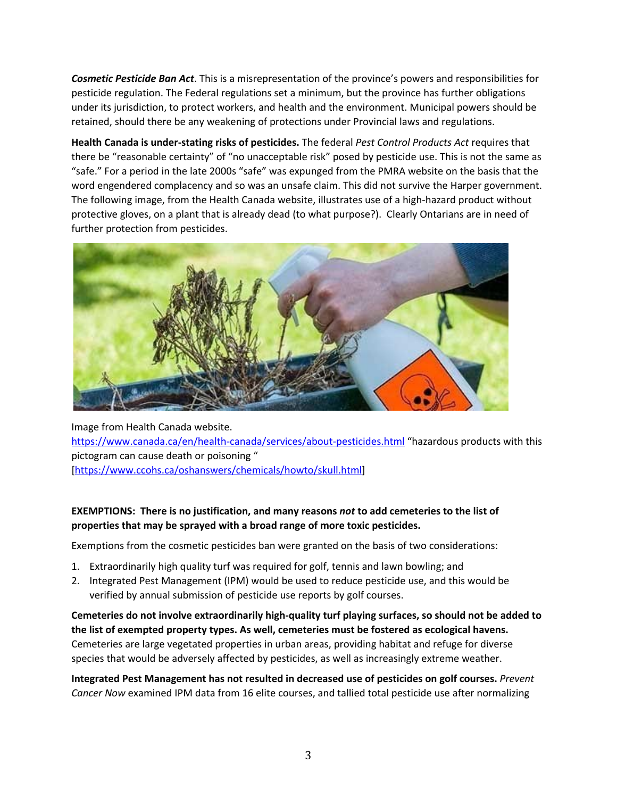*Cosmetic Pesticide Ban Act*. This is a misrepresentation of the province's powers and responsibilities for pesticide regulation. The Federal regulations set a minimum, but the province has further obligations under its jurisdiction, to protect workers, and health and the environment. Municipal powers should be retained, should there be any weakening of protections under Provincial laws and regulations.

**Health Canada is under-stating risks of pesticides.** The federal *Pest Control Products Act* requires that there be "reasonable certainty" of "no unacceptable risk" posed by pesticide use. This is not the same as "safe." For a period in the late 2000s "safe" was expunged from the PMRA website on the basis that the word engendered complacency and so was an unsafe claim. This did not survive the Harper government. The following image, from the Health Canada website, illustrates use of a high-hazard product without protective gloves, on a plant that is already dead (to what purpose?). Clearly Ontarians are in need of further protection from pesticides.



Image from Health Canada website.

<https://www.canada.ca/en/health-canada/services/about-pesticides.html> "hazardous products with this pictogram can cause death or poisoning "

[\[https://www.ccohs.ca/oshanswers/chemicals/howto/skull.html](https://www.ccohs.ca/oshanswers/chemicals/howto/skull.html)]

# **EXEMPTIONS: There is no justification, and many reasons** *not* **to add cemeteries to the list of properties that may be sprayed with a broad range of more toxic pesticides.**

Exemptions from the cosmetic pesticides ban were granted on the basis of two considerations:

- 1. Extraordinarily high quality turf was required for golf, tennis and lawn bowling; and
- 2. Integrated Pest Management (IPM) would be used to reduce pesticide use, and this would be verified by annual submission of pesticide use reports by golf courses.

**Cemeteries do not involve extraordinarily high-quality turf playing surfaces, so should not be added to the list of exempted property types. As well, cemeteries must be fostered as ecological havens.** Cemeteries are large vegetated properties in urban areas, providing habitat and refuge for diverse species that would be adversely affected by pesticides, as well as increasingly extreme weather.

**Integrated Pest Management has not resulted in decreased use of pesticides on golf courses.** *Prevent Cancer Now* examined IPM data from 16 elite courses, and tallied total pesticide use after normalizing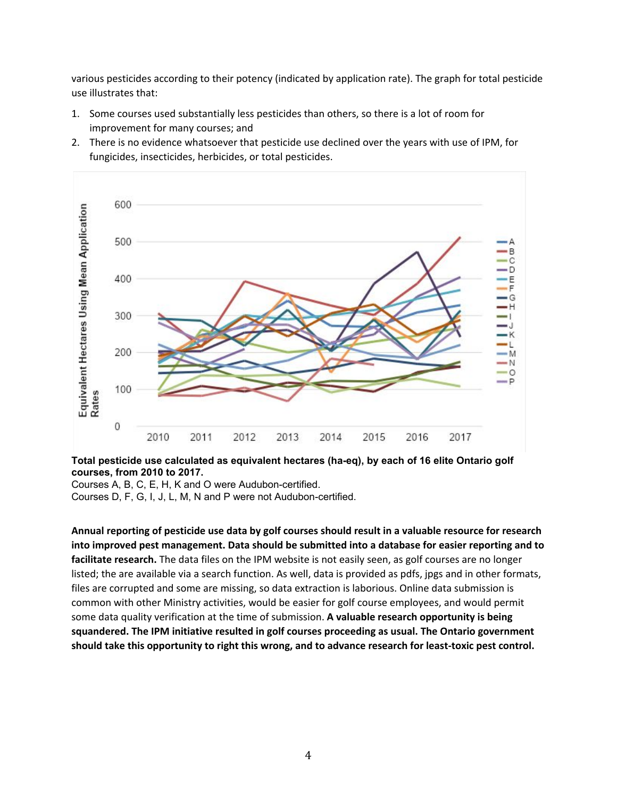various pesticides according to their potency (indicated by application rate). The graph for total pesticide use illustrates that:

- 1. Some courses used substantially less pesticides than others, so there is a lot of room for improvement for many courses; and
- 2. There is no evidence whatsoever that pesticide use declined over the years with use of IPM, for fungicides, insecticides, herbicides, or total pesticides.



### **Total pesticide use calculated as equivalent hectares (ha-eq), by each of 16 elite Ontario golf courses, from 2010 to 2017.**

Courses A, B, C, E, H, K and O were Audubon-certified. Courses D, F, G, I, J, L, M, N and P were not Audubon-certified.

**Annual reporting of pesticide use data by golf courses should result in a valuable resource for research into improved pest management. Data should be submitted into a database for easier reporting and to facilitate research.** The data files on the IPM website is not easily seen, as golf courses are no longer listed; the are available via a search function. As well, data is provided as pdfs, jpgs and in other formats, files are corrupted and some are missing, so data extraction is laborious. Online data submission is common with other Ministry activities, would be easier for golf course employees, and would permit some data quality verification at the time of submission. **A valuable research opportunity is being squandered. The IPM initiative resulted in golf courses proceeding as usual. The Ontario government should take this opportunity to right this wrong, and to advance research for least-toxic pest control.**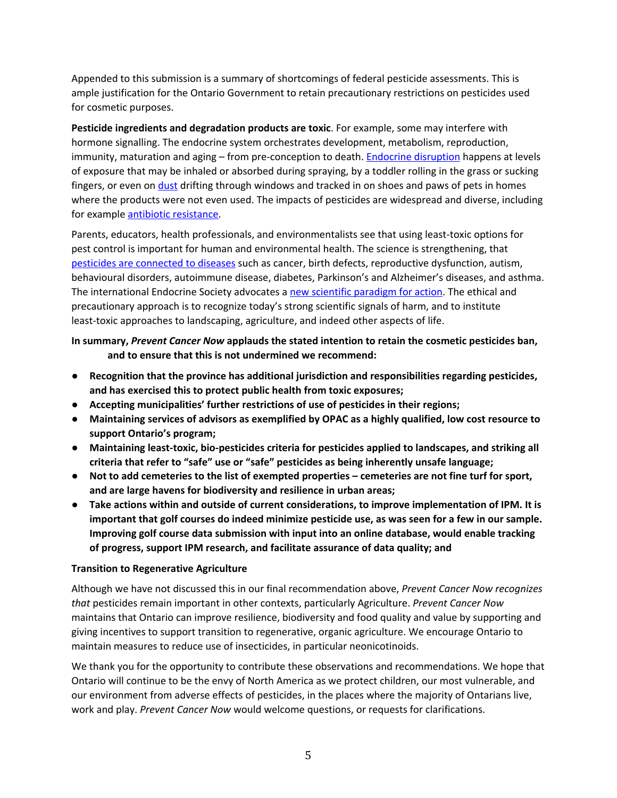Appended to this submission is a summary of shortcomings of federal pesticide assessments. This is ample justification for the Ontario Government to retain precautionary restrictions on pesticides used for cosmetic purposes.

**Pesticide ingredients and degradation products are toxic**. For example, some may interfere with hormone signalling. The endocrine system orchestrates development, metabolism, reproduction, immunity, maturation and aging – from pre-conception to death. Endocrine [disruption](http://www.who.int/ceh/risks/cehemerging2/en/) happens at levels of exposure that may be inhaled or absorbed during spraying, by a toddler rolling in the grass or sucking fingers, or even on [dust](https://www.ncbi.nlm.nih.gov/pmc/articles/PMC1240481/pdf/ehp0109-001185.pdf) drifting through windows and tracked in on shoes and paws of pets in homes where the products were not even used. The impacts of pesticides are widespread and diverse, including for example antibiotic [resistance.](https://www.ncbi.nlm.nih.gov/pubmed/29117584)

Parents, educators, health professionals, and environmentalists see that using least-toxic options for pest control is important for human and environmental health. The science is strengthening, that pesticides are [connected](https://www.beyondpesticides.org/resources/pesticide-induced-diseases-database/overview) to diseases such as cancer, birth defects, reproductive dysfunction, autism, behavioural disorders, autoimmune disease, diabetes, Parkinson's and Alzheimer's diseases, and asthma. The international Endocrine Society advocates a new scientific [paradigm](https://www.endocrine.org/topics/edc/where-we-stand) for action. The ethical and precautionary approach is to recognize today's strong scientific signals of harm, and to institute least-toxic approaches to landscaping, agriculture, and indeed other aspects of life.

**In summary,** *Prevent Cancer Now* **applauds the stated intention to retain the cosmetic pesticides ban, and to ensure that this is not undermined we recommend:**

- **● Recognition that the province has additional jurisdiction and responsibilities regarding pesticides, and has exercised this to protect public health from toxic exposures;**
- **● Accepting municipalities' further restrictions of use of pesticides in their regions;**
- **● Maintaining services of advisors as exemplified by OPAC as a highly qualified, low cost resource to support Ontario's program;**
- **● Maintaining least-toxic, bio-pesticides criteria for pesticides applied to landscapes, and striking all criteria that refer to "safe" use or "safe" pesticides as being inherently unsafe language;**
- Not to add cemeteries to the list of exempted properties cemeteries are not fine turf for sport, **and are large havens for biodiversity and resilience in urban areas;**
- **● Take actions within and outside of current considerations, to improve implementation of IPM. It is important that golf courses do indeed minimize pesticide use, as was seen for a few in our sample. Improving golf course data submission with input into an online database, would enable tracking of progress, support IPM research, and facilitate assurance of data quality; and**

### **Transition to Regenerative Agriculture**

Although we have not discussed this in our final recommendation above, *Prevent Cancer Now recognizes that* pesticides remain important in other contexts, particularly Agriculture. *Prevent Cancer Now* maintains that Ontario can improve resilience, biodiversity and food quality and value by supporting and giving incentives to support transition to regenerative, organic agriculture. We encourage Ontario to maintain measures to reduce use of insecticides, in particular neonicotinoids.

We thank you for the opportunity to contribute these observations and recommendations. We hope that Ontario will continue to be the envy of North America as we protect children, our most vulnerable, and our environment from adverse effects of pesticides, in the places where the majority of Ontarians live, work and play. *Prevent Cancer Now* would welcome questions, or requests for clarifications.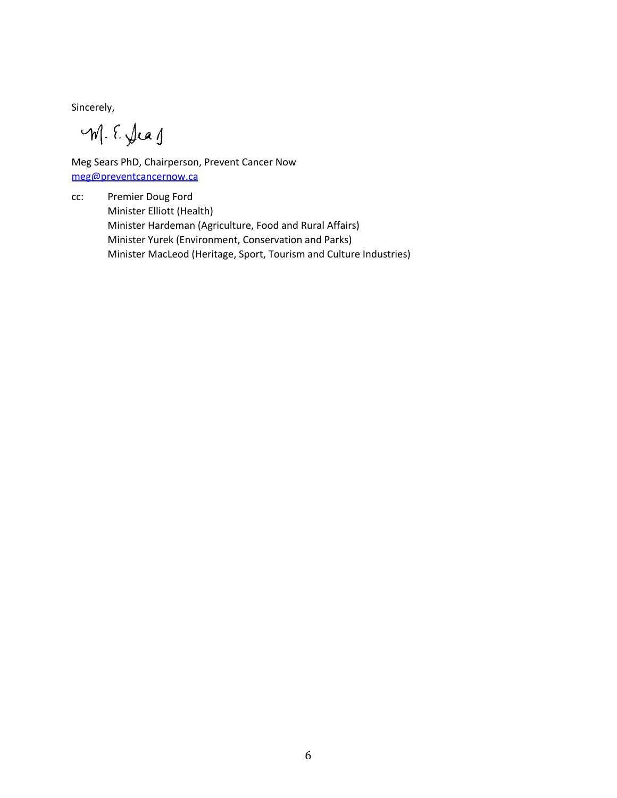Sincerely,

M. E. Jeag

Meg Sears PhD, Chairperson, Prevent Cancer Now [meg@preventcancernow.ca](mailto:meg@preventcancernow.ca)

cc: Premier Doug Ford Minister Elliott (Health) Minister Hardeman (Agriculture, Food and Rural Affairs) Minister Yurek (Environment, Conservation and Parks) Minister MacLeod (Heritage, Sport, Tourism and Culture Industries)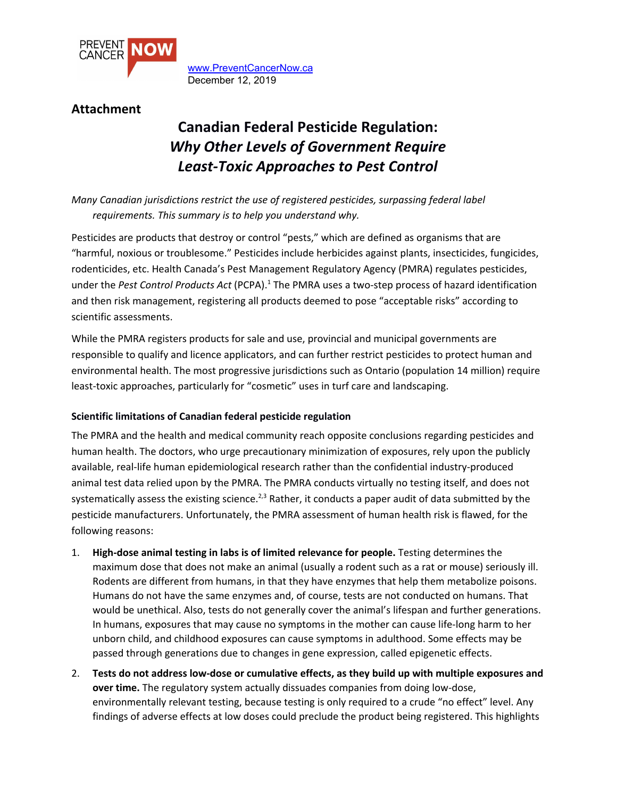

[www.PreventCancerNow.ca](http://www.preventcancernow.ca/) December 12, 2019

# **Attachment**

# **Canadian Federal Pesticide Regulation:** *Why Other Levels of Government Require Least-Toxic Approaches to Pest Control*

*Many Canadian jurisdictions restrict the use of registered pesticides, surpassing federal label requirements. This summary is to help you understand why.*

Pesticides are products that destroy or control "pests," which are defined as organisms that are "harmful, noxious or troublesome." Pesticides include herbicides against plants, insecticides, fungicides, rodenticides, etc. Health Canada's Pest Management Regulatory Agency (PMRA) regulates pesticides, under the *Pest Control Products Act* (PCPA).<sup>1</sup> The PMRA uses a two-step process of hazard identification and then risk management, registering all products deemed to pose "acceptable risks" according to scientific assessments.

While the PMRA registers products for sale and use, provincial and municipal governments are responsible to qualify and licence applicators, and can further restrict pesticides to protect human and environmental health. The most progressive jurisdictions such as Ontario (population 14 million) require least-toxic approaches, particularly for "cosmetic" uses in turf care and landscaping.

# **Scientific limitations of Canadian federal pesticide regulation**

The PMRA and the health and medical community reach opposite conclusions regarding pesticides and human health. The doctors, who urge precautionary minimization of exposures, rely upon the publicly available, real-life human epidemiological research rather than the confidential industry-produced animal test data relied upon by the PMRA. The PMRA conducts virtually no testing itself, and does not systematically assess the existing science.<sup>2,3</sup> Rather, it conducts a paper audit of data submitted by the pesticide manufacturers. Unfortunately, the PMRA assessment of human health risk is flawed, for the following reasons:

- 1. **High-dose animal testing in labs is of limited relevance for people.** Testing determines the maximum dose that does not make an animal (usually a rodent such as a rat or mouse) seriously ill. Rodents are different from humans, in that they have enzymes that help them metabolize poisons. Humans do not have the same enzymes and, of course, tests are not conducted on humans. That would be unethical. Also, tests do not generally cover the animal's lifespan and further generations. In humans, exposures that may cause no symptoms in the mother can cause life-long harm to her unborn child, and childhood exposures can cause symptoms in adulthood. Some effects may be passed through generations due to changes in gene expression, called epigenetic effects.
- 2. **Tests do not address low-dose or cumulative effects, as they build up with multiple exposures and over time.** The regulatory system actually dissuades companies from doing low-dose, environmentally relevant testing, because testing is only required to a crude "no effect" level. Any findings of adverse effects at low doses could preclude the product being registered. This highlights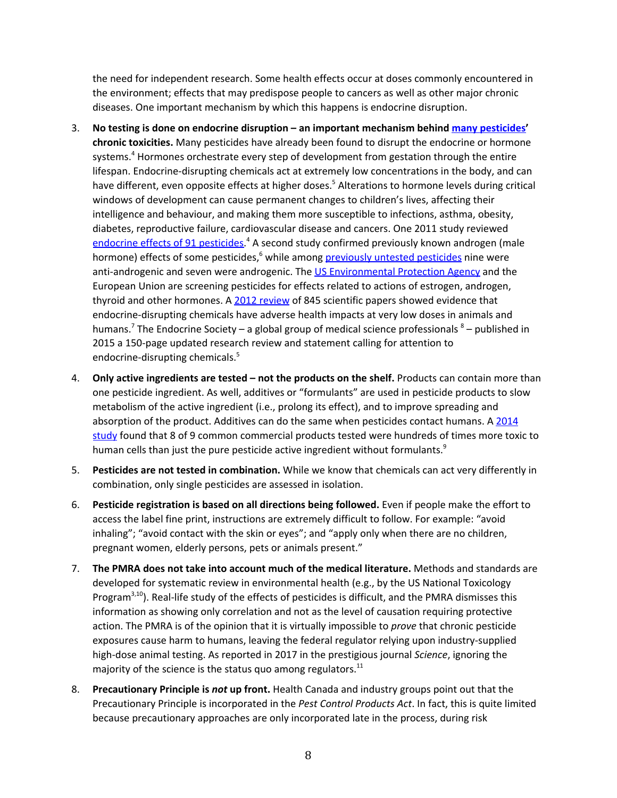the need for independent research. Some health effects occur at doses commonly encountered in the environment; effects that may predispose people to cancers as well as other major chronic diseases. One important mechanism by which this happens is endocrine disruption.

- 3. **No testing is done on endocrine disruption – an important mechanism behind many [pesticides'](http://www.ncbi.nlm.nih.gov/pmc/articles/PMC3138025/) chronic toxicities.** Many pesticides have already been found to disrupt the endocrine or hormone systems. <sup>4</sup> Hormones orchestrate every step of development from gestation through the entire lifespan. Endocrine-disrupting chemicals act at extremely low concentrations in the body, and can have different, even opposite effects at higher doses. <sup>5</sup> Alterations to hormone levels during critical windows of development can cause permanent changes to children's lives, affecting their intelligence and behaviour, and making them more susceptible to infections, asthma, obesity, diabetes, reproductive failure, cardiovascular disease and cancers. One 2011 study reviewed [endocrine](http://www.ncbi.nlm.nih.gov/pmc/articles/PMC3138025/) effects of 91 pesticides.<sup>4</sup> A second study confirmed previously known androgen (male hormone) effects of some pesticides,<sup>6</sup> while among **[previously](http://www.ncbi.nlm.nih.gov/pmc/articles/PMC3114813/) untested pesticides** nine were anti-androgenic and seven were androgenic. The US [Environmental](http://www.epa.gov/endo/) Protection Agency and the European Union are screening pesticides for effects related to actions of estrogen, androgen, thyroid and other hormones. A 2012 [review](http://www.ncbi.nlm.nih.gov/pmc/articles/PMC3365860/) of 845 scientific papers showed evidence that endocrine-disrupting chemicals have adverse health impacts at very low doses in animals and humans.<sup>7</sup> The Endocrine Society – a global group of medical science professionals <sup>8</sup> – published in 2015 a 150-page updated research review and statement calling for attention to endocrine-disrupting chemicals. 5
- 4. **Only active ingredients are tested – not the products on the shelf.** Products can contain more than one pesticide ingredient. As well, additives or "formulants" are used in pesticide products to slow metabolism of the active ingredient (i.e., prolong its effect), and to improve spreading and absorption of the product. Additives can do the same when pesticides contact humans. A [2014](http://www.hindawi.com/journals/bmri/2014/179691/) [study](http://www.hindawi.com/journals/bmri/2014/179691/) found that 8 of 9 common commercial products tested were hundreds of times more toxic to human cells than just the pure pesticide active ingredient without formulants.<sup>9</sup>
- 5. **Pesticides are not tested in combination.** While we know that chemicals can act very differently in combination, only single pesticides are assessed in isolation.
- 6. **Pesticide registration is based on all directions being followed.** Even if people make the effort to access the label fine print, instructions are extremely difficult to follow. For example: "avoid inhaling"; "avoid contact with the skin or eyes"; and "apply only when there are no children, pregnant women, elderly persons, pets or animals present."
- 7. **The PMRA does not take into account much of the medical literature.** Methods and standards are developed for systematic review in environmental health (e.g., by the US National Toxicology Program<sup>3,10</sup>). Real-life study of the effects of pesticides is difficult, and the PMRA dismisses this information as showing only correlation and not as the level of causation requiring protective action. The PMRA is of the opinion that it is virtually impossible to *prove* that chronic pesticide exposures cause harm to humans, leaving the federal regulator relying upon industry-supplied high-dose animal testing. As reported in 2017 in the prestigious journal *Science*, ignoring the majority of the science is the status quo among regulators.<sup>11</sup>
- 8. **Precautionary Principle is** *not* **up front.** Health Canada and industry groups point out that the Precautionary Principle is incorporated in the *Pest Control Products Act*. In fact, this is quite limited because precautionary approaches are only incorporated late in the process, during risk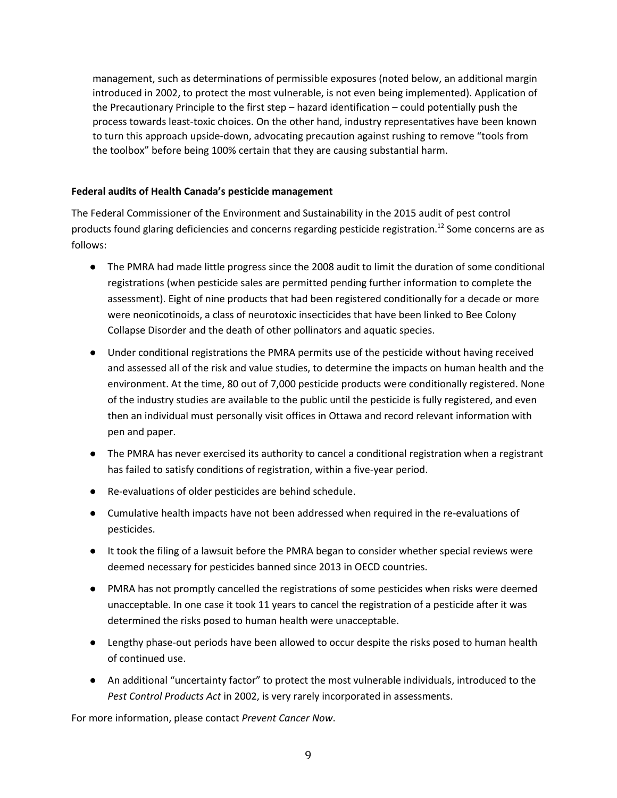management, such as determinations of permissible exposures (noted below, an additional margin introduced in 2002, to protect the most vulnerable, is not even being implemented). Application of the Precautionary Principle to the first step – hazard identification – could potentially push the process towards least-toxic choices. On the other hand, industry representatives have been known to turn this approach upside-down, advocating precaution against rushing to remove "tools from the toolbox" before being 100% certain that they are causing substantial harm.

### **Federal audits of Health Canada's pesticide management**

The Federal Commissioner of the Environment and Sustainability in the 2015 audit of pest control products found glaring deficiencies and concerns regarding pesticide registration. <sup>12</sup> Some concerns are as follows:

- The PMRA had made little progress since the 2008 audit to limit the duration of some conditional registrations (when pesticide sales are permitted pending further information to complete the assessment). Eight of nine products that had been registered conditionally for a decade or more were neonicotinoids, a class of neurotoxic insecticides that have been linked to Bee Colony Collapse Disorder and the death of other pollinators and aquatic species.
- Under conditional registrations the PMRA permits use of the pesticide without having received and assessed all of the risk and value studies, to determine the impacts on human health and the environment. At the time, 80 out of 7,000 pesticide products were conditionally registered. None of the industry studies are available to the public until the pesticide is fully registered, and even then an individual must personally visit offices in Ottawa and record relevant information with pen and paper.
- The PMRA has never exercised its authority to cancel a conditional registration when a registrant has failed to satisfy conditions of registration, within a five-year period.
- Re-evaluations of older pesticides are behind schedule.
- Cumulative health impacts have not been addressed when required in the re-evaluations of pesticides.
- It took the filing of a lawsuit before the PMRA began to consider whether special reviews were deemed necessary for pesticides banned since 2013 in OECD countries.
- PMRA has not promptly cancelled the registrations of some pesticides when risks were deemed unacceptable. In one case it took 11 years to cancel the registration of a pesticide after it was determined the risks posed to human health were unacceptable.
- Lengthy phase-out periods have been allowed to occur despite the risks posed to human health of continued use.
- An additional "uncertainty factor" to protect the most vulnerable individuals, introduced to the *Pest Control Products Act* in 2002, is very rarely incorporated in assessments.

For more information, please contact *Prevent Cancer Now*.